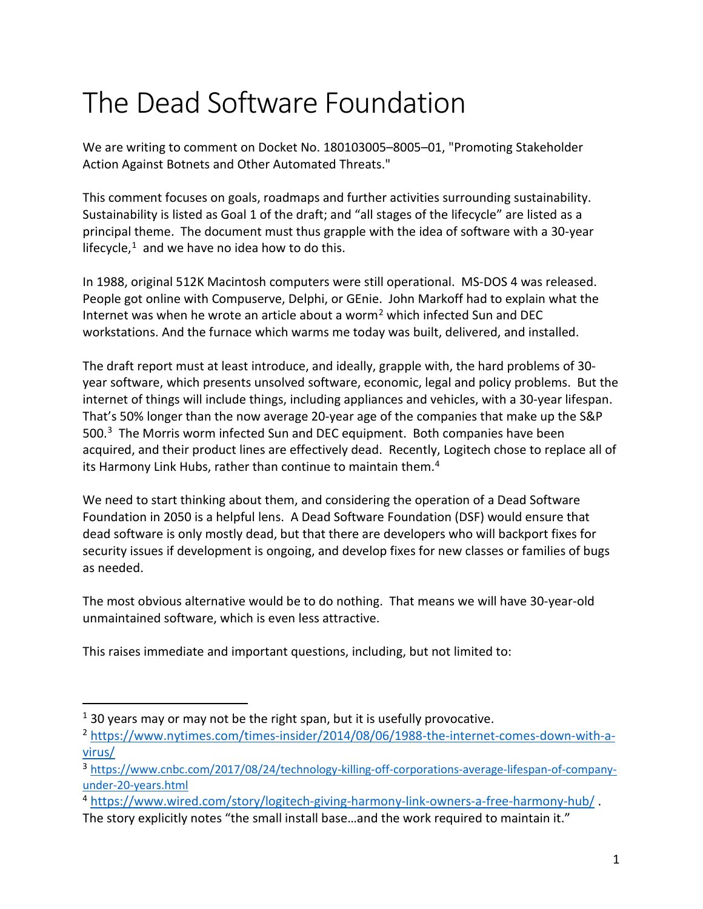## The Dead Software Foundation

We are writing to comment on Docket No. 180103005–8005–01, "Promoting Stakeholder Action Against Botnets and Other Automated Threats."

This comment focuses on goals, roadmaps and further activities surrounding sustainability. Sustainability is listed as Goal 1 of the draft; and "all stages of the lifecycle" are listed as a principal theme. The document must thus grapple with the idea of software with a 30-year lifecycle, $1$  and we have no idea how to do this.

In 1988, original 512K Macintosh computers were still operational. MS-DOS 4 was released. People got online with Compuserve, Delphi, or GEnie. John Markoff had to explain what the Internet was when he wrote an article about a worm[2](#page-0-1) which infected Sun and DEC workstations. And the furnace which warms me today was built, delivered, and installed.

The draft report must at least introduce, and ideally, grapple with, the hard problems of 30 year software, which presents unsolved software, economic, legal and policy problems. But the internet of things will include things, including appliances and vehicles, with a 30-year lifespan. That's 50% longer than the now average 20-year age of the companies that make up the S&P 500.<sup>3</sup> The Morris worm infected Sun and DEC equipment. Both companies have been acquired, and their product lines are effectively dead. Recently, Logitech chose to replace all of its Harmony Link Hubs, rather than continue to maintain them.<sup>[4](#page-0-3)</sup>

We need to start thinking about them, and considering the operation of a Dead Software Foundation in 2050 is a helpful lens. A Dead Software Foundation (DSF) would ensure that dead software is only mostly dead, but that there are developers who will backport fixes for security issues if development is ongoing, and develop fixes for new classes or families of bugs as needed.

The most obvious alternative would be to do nothing. That means we will have 30-year-old unmaintained software, which is even less attractive.

This raises immediate and important questions, including, but not limited to:

<span id="page-0-0"></span> $1$  30 years may or may not be the right span, but it is usefully provocative.

<span id="page-0-1"></span><sup>2</sup> [https://www.nytimes.com/times-insider/2014/08/06/1988-the-internet-comes-down-with-a](https://www.nytimes.com/times-insider/2014/08/06/1988-the-internet-comes-down-with-a-virus/)[virus/](https://www.nytimes.com/times-insider/2014/08/06/1988-the-internet-comes-down-with-a-virus/)

<span id="page-0-2"></span><sup>3</sup> [https://www.cnbc.com/2017/08/24/technology-killing-off-corporations-average-lifespan-of-company](https://www.cnbc.com/2017/08/24/technology-killing-off-corporations-average-lifespan-of-company-under-20-years.html)[under-20-years.html](https://www.cnbc.com/2017/08/24/technology-killing-off-corporations-average-lifespan-of-company-under-20-years.html)

<span id="page-0-3"></span><sup>4</sup> <https://www.wired.com/story/logitech-giving-harmony-link-owners-a-free-harmony-hub/> .

The story explicitly notes "the small install base…and the work required to maintain it."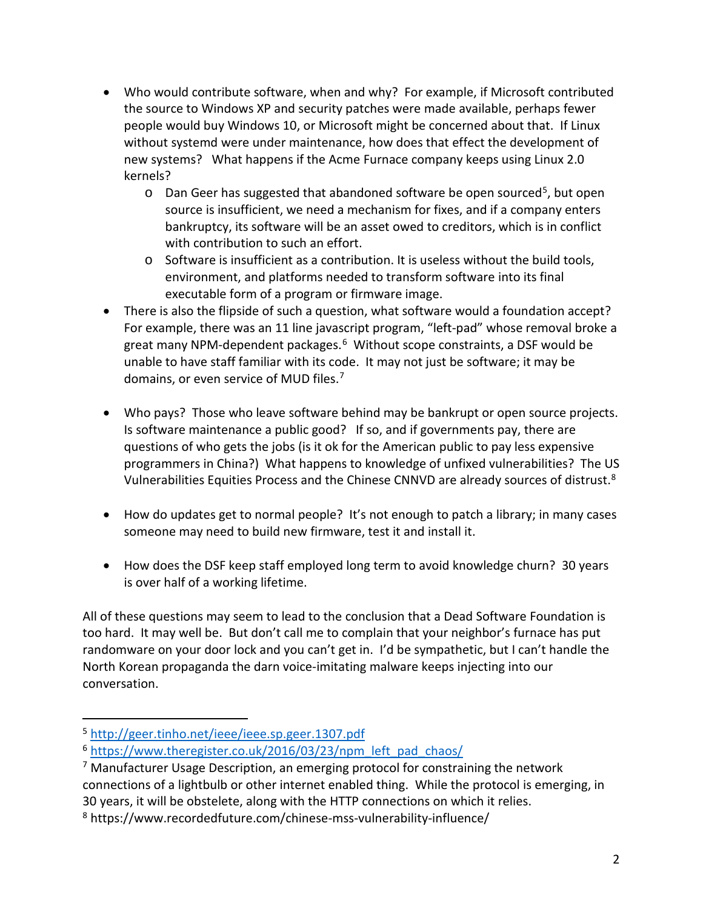- Who would contribute software, when and why? For example, if Microsoft contributed the source to Windows XP and security patches were made available, perhaps fewer people would buy Windows 10, or Microsoft might be concerned about that. If Linux without systemd were under maintenance, how does that effect the development of new systems? What happens if the Acme Furnace company keeps using Linux 2.0 kernels?
	- $\circ$  Dan Geer has suggested that abandoned software be open sourced<sup>5</sup>, but open source is insufficient, we need a mechanism for fixes, and if a company enters bankruptcy, its software will be an asset owed to creditors, which is in conflict with contribution to such an effort.
	- $\circ$  Software is insufficient as a contribution. It is useless without the build tools, environment, and platforms needed to transform software into its final executable form of a program or firmware image.
- There is also the flipside of such a question, what software would a foundation accept? For example, there was an 11 line javascript program, "left-pad" whose removal broke a great many NPM-dependent packages.<sup>[6](#page-1-1)</sup> Without scope constraints, a DSF would be unable to have staff familiar with its code. It may not just be software; it may be domains, or even service of MUD files.<sup>[7](#page-1-2)</sup>
- Who pays? Those who leave software behind may be bankrupt or open source projects. Is software maintenance a public good? If so, and if governments pay, there are questions of who gets the jobs (is it ok for the American public to pay less expensive programmers in China?) What happens to knowledge of unfixed vulnerabilities? The US Vulnerabilities Equities Process and the Chinese CNNVD are already sources of distrust.[8](#page-1-3)
- How do updates get to normal people? It's not enough to patch a library; in many cases someone may need to build new firmware, test it and install it.
- How does the DSF keep staff employed long term to avoid knowledge churn? 30 years is over half of a working lifetime.

All of these questions may seem to lead to the conclusion that a Dead Software Foundation is too hard. It may well be. But don't call me to complain that your neighbor's furnace has put randomware on your door lock and you can't get in. I'd be sympathetic, but I can't handle the North Korean propaganda the darn voice-imitating malware keeps injecting into our conversation.

<span id="page-1-0"></span> <sup>5</sup> <http://geer.tinho.net/ieee/ieee.sp.geer.1307.pdf>

<span id="page-1-1"></span><sup>&</sup>lt;sup>6</sup> [https://www.theregister.co.uk/2016/03/23/npm\\_left\\_pad\\_chaos/](https://www.theregister.co.uk/2016/03/23/npm_left_pad_chaos/)

<span id="page-1-2"></span><sup>7</sup> Manufacturer Usage Description, an emerging protocol for constraining the network connections of a lightbulb or other internet enabled thing. While the protocol is emerging, in 30 years, it will be obstelete, along with the HTTP connections on which it relies.

<span id="page-1-3"></span><sup>8</sup> https://www.recordedfuture.com/chinese-mss-vulnerability-influence/